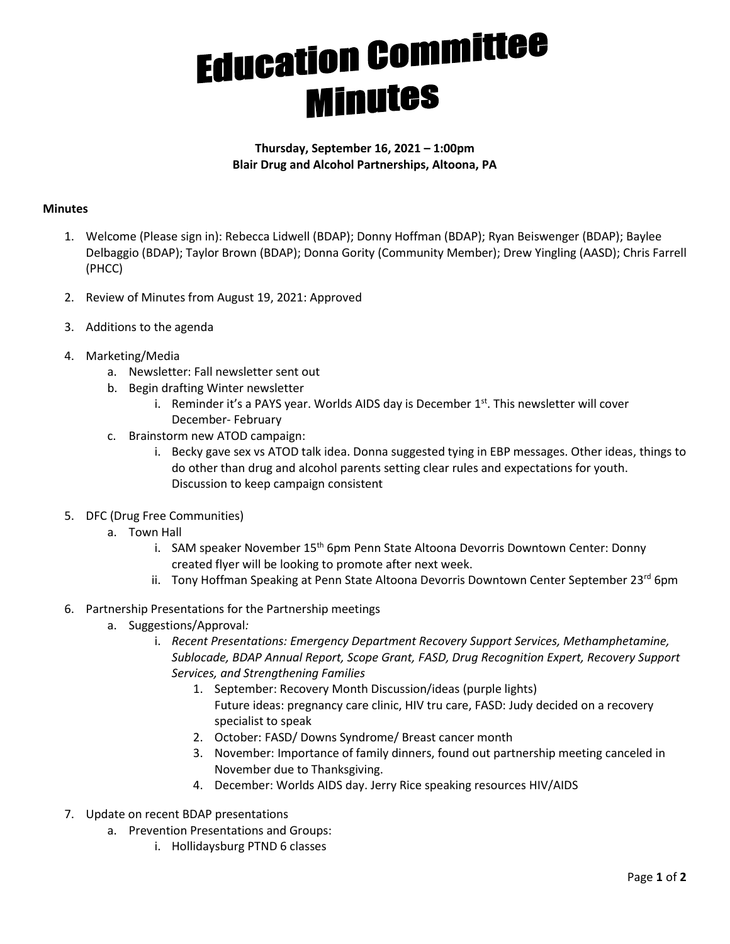## **Education Committee Minutes**

## **Thursday, September 16, 2021 – 1:00pm Blair Drug and Alcohol Partnerships, Altoona, PA**

## **Minutes**

- 1. Welcome (Please sign in): Rebecca Lidwell (BDAP); Donny Hoffman (BDAP); Ryan Beiswenger (BDAP); Baylee Delbaggio (BDAP); Taylor Brown (BDAP); Donna Gority (Community Member); Drew Yingling (AASD); Chris Farrell (PHCC)
- 2. Review of Minutes from August 19, 2021: Approved
- 3. Additions to the agenda
- 4. Marketing/Media
	- a. Newsletter: Fall newsletter sent out
	- b. Begin drafting Winter newsletter
		- i. Reminder it's a PAYS year. Worlds AIDS day is December  $1<sup>st</sup>$ . This newsletter will cover December- February
	- c. Brainstorm new ATOD campaign:
		- i. Becky gave sex vs ATOD talk idea. Donna suggested tying in EBP messages. Other ideas, things to do other than drug and alcohol parents setting clear rules and expectations for youth. Discussion to keep campaign consistent
- 5. DFC (Drug Free Communities)
	- a. Town Hall
		- i. SAM speaker November 15<sup>th</sup> 6pm Penn State Altoona Devorris Downtown Center: Donny created flyer will be looking to promote after next week.
		- ii. Tony Hoffman Speaking at Penn State Altoona Devorris Downtown Center September 23rd 6pm
- 6. Partnership Presentations for the Partnership meetings
	- a. Suggestions/Approval*:*
		- i. *Recent Presentations: Emergency Department Recovery Support Services, Methamphetamine, Sublocade, BDAP Annual Report, Scope Grant, FASD, Drug Recognition Expert, Recovery Support Services, and Strengthening Families*
			- 1. September: Recovery Month Discussion/ideas (purple lights) Future ideas: pregnancy care clinic, HIV tru care, FASD: Judy decided on a recovery specialist to speak
			- 2. October: FASD/ Downs Syndrome/ Breast cancer month
			- 3. November: Importance of family dinners, found out partnership meeting canceled in November due to Thanksgiving.
			- 4. December: Worlds AIDS day. Jerry Rice speaking resources HIV/AIDS
- 7. Update on recent BDAP presentations
	- a. Prevention Presentations and Groups:
		- i. Hollidaysburg PTND 6 classes